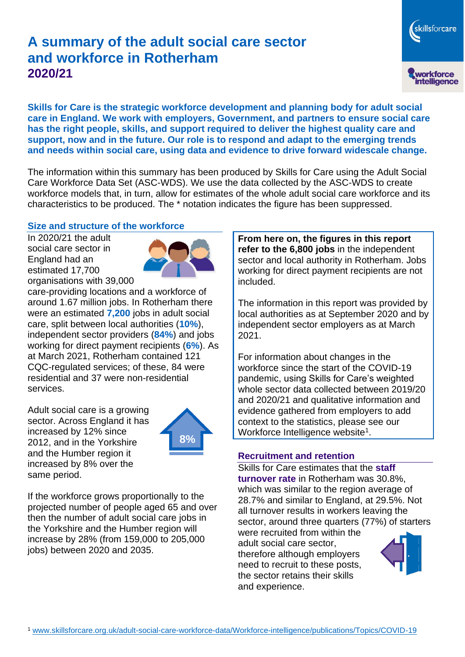# **A summary of the adult social care sector and workforce in Rotherham 2020/21**

workforce<br>intelligence **Skills for Care is the strategic workforce development and planning body for adult social care in England. We work with employers, Government, and partners to ensure social care has the right people, skills, and support required to deliver the highest quality care and support, now and in the future. Our role is to respond and adapt to the emerging trends and needs within social care, using data and evidence to drive forward widescale change.**

The information within this summary has been produced by Skills for Care using the Adult Social Care Workforce Data Set (ASC-WDS). We use the data collected by the ASC-WDS to create workforce models that, in turn, allow for estimates of the whole adult social care workforce and its characteristics to be produced. The \* notation indicates the figure has been suppressed.

#### **Size and structure of the workforce**

In 2020/21 the adult social care sector in England had an estimated 17,700 organisations with 39,000



care-providing locations and a workforce of around 1.67 million jobs. In Rotherham there were an estimated **7,200** jobs in adult social care, split between local authorities (**10%**), independent sector providers (**84%**) and jobs working for direct payment recipients (**6%**). As at March 2021, Rotherham contained 121 CQC-regulated services; of these, 84 were residential and 37 were non-residential services.

Adult social care is a growing sector. Across England it has increased by 12% since 2012, and in the Yorkshire and the Humber region it increased by 8% over the same period.



If the workforce grows proportionally to the projected number of people aged 65 and over then the number of adult social care jobs in the Yorkshire and the Humber region will increase by 28% (from 159,000 to 205,000 jobs) between 2020 and 2035.

**From here on, the figures in this report refer to the 6,800 jobs** in the independent sector and local authority in Rotherham. Jobs working for direct payment recipients are not included.

The information in this report was provided by local authorities as at September 2020 and by independent sector employers as at March 2021.

For information about changes in the workforce since the start of the COVID-19 pandemic, using Skills for Care's weighted whole sector data collected between 2019/20 and 2020/21 and qualitative information and evidence gathered from employers to add context to the statistics, please see our Workforce Intelligence website<sup>1</sup>.

#### **Recruitment and retention**

Skills for Care estimates that the **staff turnover rate** in Rotherham was 30.8%, which was similar to the region average of 28.7% and similar to England, at 29.5%. Not all turnover results in workers leaving the sector, around three quarters (77%) of starters

were recruited from within the adult social care sector, therefore although employers need to recruit to these posts, the sector retains their skills and experience.



skillsforcare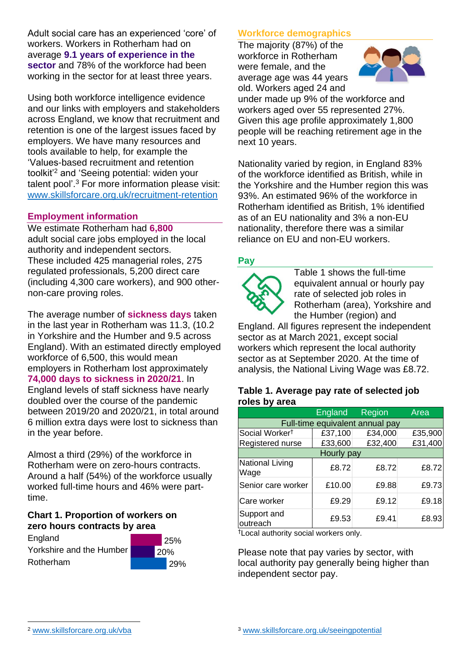Adult social care has an experienced 'core' of workers. Workers in Rotherham had on average **9.1 years of experience in the sector** and 78% of the workforce had been working in the sector for at least three years.

Using both workforce intelligence evidence and our links with employers and stakeholders across England, we know that recruitment and retention is one of the largest issues faced by employers. We have many resources and tools available to help, for example the 'Values-based recruitment and retention toolkit'<sup>2</sup> and 'Seeing potential: widen your talent pool'. <sup>3</sup> For more information please visit: [www.skillsforcare.org.uk/recruitment-retention](http://www.skillsforcare.org.uk/recruitment-retention)

#### **Employment information**

We estimate Rotherham had **6,800** adult social care jobs employed in the local authority and independent sectors. These included 425 managerial roles, 275 regulated professionals, 5,200 direct care (including 4,300 care workers), and 900 othernon-care proving roles.

The average number of **sickness days** taken in the last year in Rotherham was 11.3, (10.2 in Yorkshire and the Humber and 9.5 across England). With an estimated directly employed workforce of 6,500, this would mean employers in Rotherham lost approximately **74,000 days to sickness in 2020/21**. In England levels of staff sickness have nearly doubled over the course of the pandemic between 2019/20 and 2020/21, in total around 6 million extra days were lost to sickness than in the year before.

Almost a third (29%) of the workforce in Rotherham were on zero-hours contracts. Around a half (54%) of the workforce usually worked full-time hours and 46% were parttime.

#### **Chart 1. Proportion of workers on zero hours contracts by area**

**England** Yorkshire and the Humber Rotherham



# **Workforce demographics**

The majority (87%) of the workforce in Rotherham were female, and the average age was 44 years old. Workers aged 24 and



under made up 9% of the workforce and workers aged over 55 represented 27%. Given this age profile approximately 1,800 people will be reaching retirement age in the next 10 years.

Nationality varied by region, in England 83% of the workforce identified as British, while in the Yorkshire and the Humber region this was 93%. An estimated 96% of the workforce in Rotherham identified as British, 1% identified as of an EU nationality and 3% a non-EU nationality, therefore there was a similar reliance on EU and non-EU workers.

# **Pay**



Table 1 shows the full-time equivalent annual or hourly pay rate of selected job roles in Rotherham (area), Yorkshire and the Humber (region) and

England. All figures represent the independent sector as at March 2021, except social workers which represent the local authority sector as at September 2020. At the time of analysis, the National Living Wage was £8.72.

#### **Table 1. Average pay rate of selected job roles by area**

|                                 | <b>England</b> | Region  | Area    |
|---------------------------------|----------------|---------|---------|
| Full-time equivalent annual pay |                |         |         |
| Social Worker <sup>t</sup>      | £37,100        | £34,000 | £35,900 |
| Registered nurse                | £33,600        | £32,400 | £31,400 |
| Hourly pay                      |                |         |         |
| National Living<br>Wage         | £8.72          | £8.72   | £8.72   |
| Senior care worker              | £10.00         | £9.88   | £9.73   |
| Care worker                     | £9.29          | £9.12   | £9.18   |
| Support and<br>outreach         | £9.53          | £9.41   | £8.93   |

†Local authority social workers only.

Please note that pay varies by sector, with local authority pay generally being higher than independent sector pay.

[www.skillsforcare.org.uk/vba](http://www.skillsforcare.org.uk/vba)